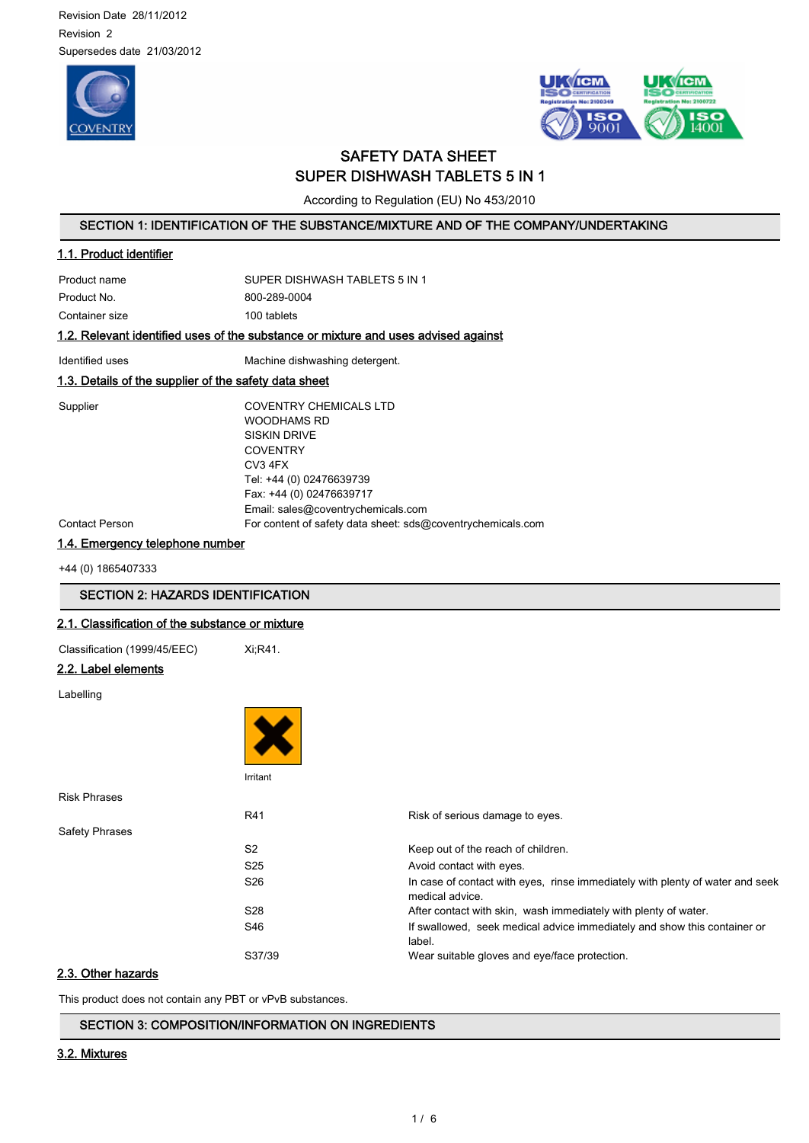Revision Date 28/11/2012 Revision 2 Supersedes date 21/03/2012





# SAFETY DATA SHEET SUPER DISHWASH TABLETS 5 IN 1

According to Regulation (EU) No 453/2010

# SECTION 1: IDENTIFICATION OF THE SUBSTANCE/MIXTURE AND OF THE COMPANY/UNDERTAKING

# 1.1. Product identifier

Product name SUPER DISHWASH TABLETS 5 IN 1 Product No. 6800-289-0004 Container size 100 tablets

# 1.2. Relevant identified uses of the substance or mixture and uses advised against

Identified uses Machine dishwashing detergent.

# 1.3. Details of the supplier of the safety data sheet

Supplier COVENTRY CHEMICALS LTD WOODHAMS RD SISKIN DRIVE **COVENTRY** CV3 4FX Tel: +44 (0) 02476639739 Fax: +44 (0) 02476639717 Email: sales@coventrychemicals.com Contact Person For content of safety data sheet: sds@coventrychemicals.com

1.4. Emergency telephone number

+44 (0) 1865407333

# SECTION 2: HAZARDS IDENTIFICATION

#### 2.1. Classification of the substance or mixture

Classification (1999/45/EEC) Xi;R41.

# 2.2. Label elements

Labelling

|                       | Irritant        |                                                                                                  |
|-----------------------|-----------------|--------------------------------------------------------------------------------------------------|
| <b>Risk Phrases</b>   |                 |                                                                                                  |
|                       | R41             | Risk of serious damage to eyes.                                                                  |
| <b>Safety Phrases</b> |                 |                                                                                                  |
|                       | S <sub>2</sub>  | Keep out of the reach of children.                                                               |
|                       | S <sub>25</sub> | Avoid contact with eyes.                                                                         |
|                       | S <sub>26</sub> | In case of contact with eyes, rinse immediately with plenty of water and seek<br>medical advice. |
|                       | S28             | After contact with skin, wash immediately with plenty of water.                                  |
|                       | S46             | If swallowed, seek medical advice immediately and show this container or<br>label.               |
|                       | S37/39          | Wear suitable gloves and eye/face protection.                                                    |

# 2.3. Other hazards

This product does not contain any PBT or vPvB substances.

#### SECTION 3: COMPOSITION/INFORMATION ON INGREDIENTS

# 3.2. Mixtures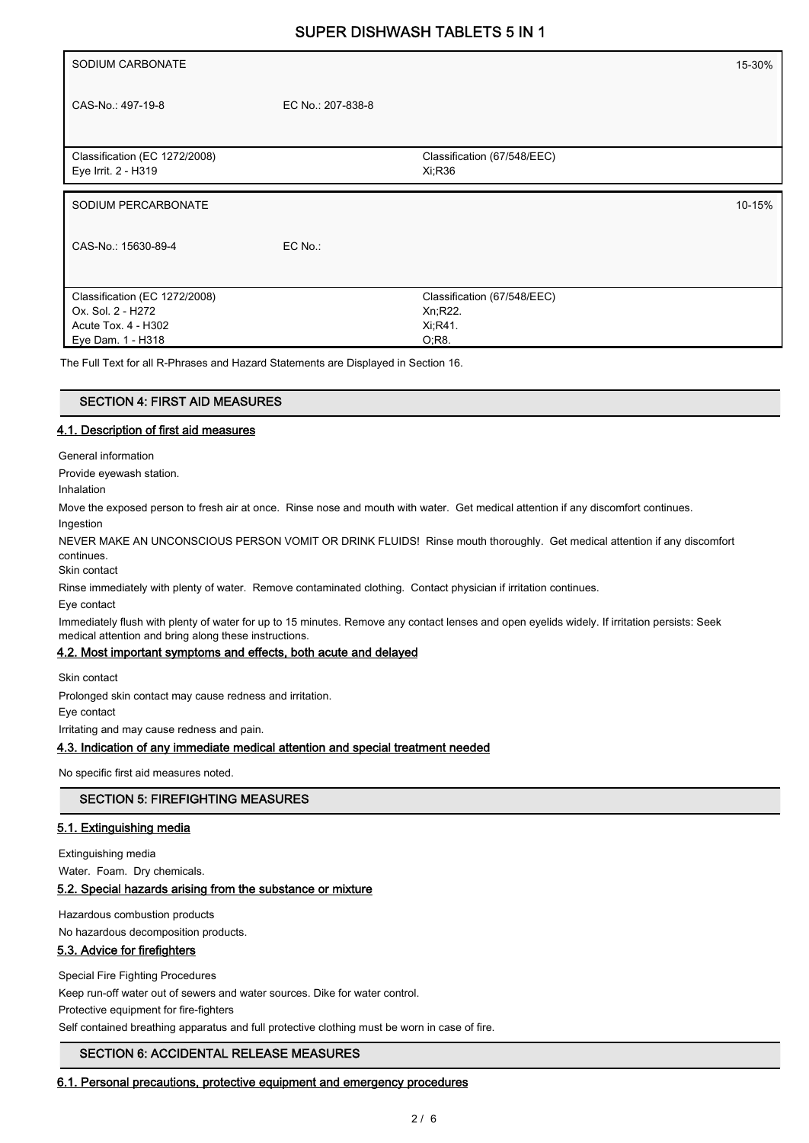| SODIUM CARBONATE                                     |                   |                                       | 15-30% |
|------------------------------------------------------|-------------------|---------------------------------------|--------|
| CAS-No.: 497-19-8                                    | EC No.: 207-838-8 |                                       |        |
| Classification (EC 1272/2008)<br>Eye Irrit. 2 - H319 |                   | Classification (67/548/EEC)<br>Xi;R36 |        |
|                                                      |                   |                                       |        |
| SODIUM PERCARBONATE                                  |                   |                                       | 10-15% |
| CAS-No.: 15630-89-4                                  | EC No.:           |                                       |        |
| Classification (EC 1272/2008)                        |                   | Classification (67/548/EEC)           |        |
| Ox. Sol. 2 - H272                                    |                   | Xn, R22.                              |        |
| Acute Tox. 4 - H302                                  |                   | Xi, R41.                              |        |
| Eye Dam. 1 - H318                                    |                   | $O;R8$ .                              |        |

The Full Text for all R-Phrases and Hazard Statements are Displayed in Section 16.

#### SECTION 4: FIRST AID MEASURES

#### 4.1. Description of first aid measures

General information

Provide eyewash station.

Inhalation

Move the exposed person to fresh air at once. Rinse nose and mouth with water. Get medical attention if any discomfort continues.

Ingestion

NEVER MAKE AN UNCONSCIOUS PERSON VOMIT OR DRINK FLUIDS! Rinse mouth thoroughly. Get medical attention if any discomfort continues.

Skin contact

Rinse immediately with plenty of water. Remove contaminated clothing. Contact physician if irritation continues.

Eye contact

Immediately flush with plenty of water for up to 15 minutes. Remove any contact lenses and open eyelids widely. If irritation persists: Seek medical attention and bring along these instructions.

#### 4.2. Most important symptoms and effects, both acute and delayed

Skin contact

Prolonged skin contact may cause redness and irritation.

Eye contact

Irritating and may cause redness and pain.

#### 4.3. Indication of any immediate medical attention and special treatment needed

No specific first aid measures noted.

# SECTION 5: FIREFIGHTING MEASURES

#### 5.1. Extinguishing media

Extinguishing media

Water. Foam. Dry chemicals.

#### 5.2. Special hazards arising from the substance or mixture

Hazardous combustion products

No hazardous decomposition products.

#### 5.3. Advice for firefighters

Special Fire Fighting Procedures

Keep run-off water out of sewers and water sources. Dike for water control.

Protective equipment for fire-fighters

Self contained breathing apparatus and full protective clothing must be worn in case of fire.

#### SECTION 6: ACCIDENTAL RELEASE MEASURES

#### 6.1. Personal precautions, protective equipment and emergency procedures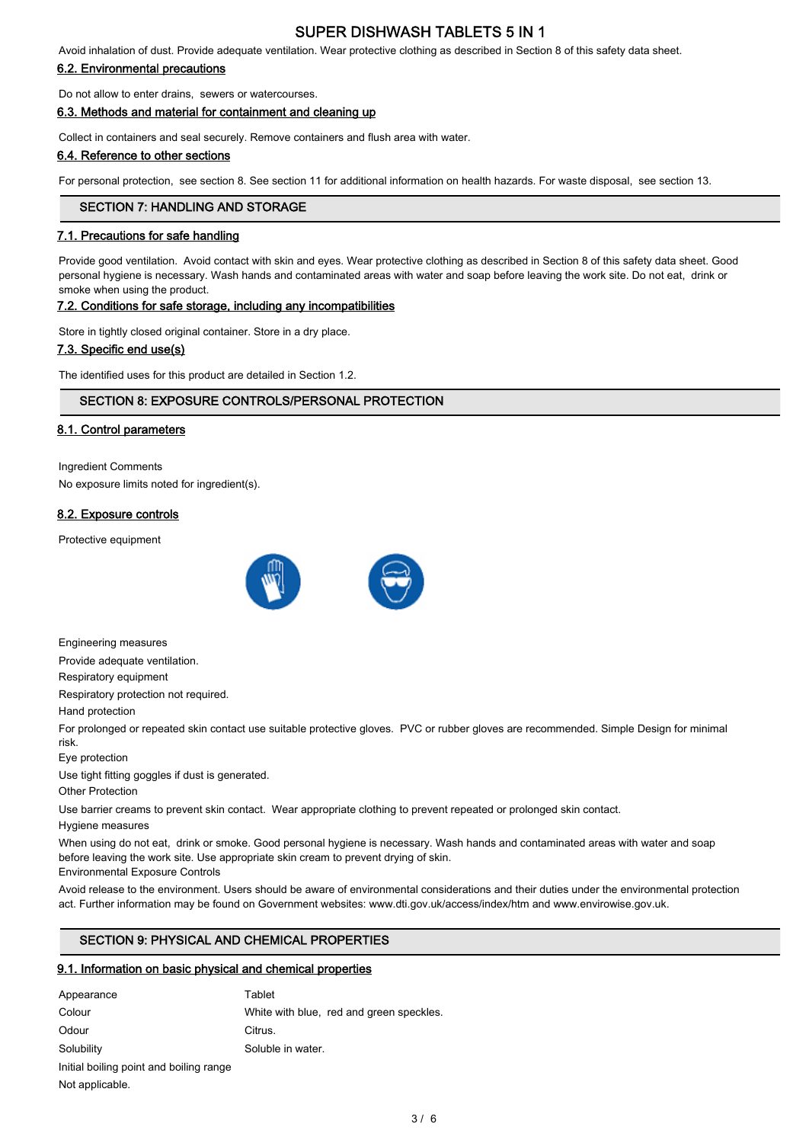Avoid inhalation of dust. Provide adequate ventilation. Wear protective clothing as described in Section 8 of this safety data sheet.

## 6.2. Environmental precautions

Do not allow to enter drains, sewers or watercourses.

6.3. Methods and material for containment and cleaning up

Collect in containers and seal securely. Remove containers and flush area with water.

#### 6.4. Reference to other sections

For personal protection, see section 8. See section 11 for additional information on health hazards. For waste disposal, see section 13.

### SECTION 7: HANDLING AND STORAGE

#### 7.1. Precautions for safe handling

Provide good ventilation. Avoid contact with skin and eyes. Wear protective clothing as described in Section 8 of this safety data sheet. Good personal hygiene is necessary. Wash hands and contaminated areas with water and soap before leaving the work site. Do not eat, drink or smoke when using the product.

# 7.2. Conditions for safe storage, including any incompatibilities

Store in tightly closed original container. Store in a dry place.

#### 7.3. Specific end use(s)

The identified uses for this product are detailed in Section 1.2.

# SECTION 8: EXPOSURE CONTROLS/PERSONAL PROTECTION

### 8.1. Control parameters

Ingredient Comments No exposure limits noted for ingredient(s).

### 8.2. Exposure controls

Protective equipment





Engineering measures

Provide adequate ventilation.

Respiratory equipment

Respiratory protection not required.

Hand protection

For prolonged or repeated skin contact use suitable protective gloves. PVC or rubber gloves are recommended. Simple Design for minimal risk.

Eye protection

Use tight fitting goggles if dust is generated.

Other Protection

Use barrier creams to prevent skin contact. Wear appropriate clothing to prevent repeated or prolonged skin contact.

Hygiene measures

When using do not eat, drink or smoke. Good personal hygiene is necessary. Wash hands and contaminated areas with water and soap before leaving the work site. Use appropriate skin cream to prevent drying of skin.

Environmental Exposure Controls

Avoid release to the environment. Users should be aware of environmental considerations and their duties under the environmental protection act. Further information may be found on Government websites: www.dti.gov.uk/access/index/htm and www.envirowise.gov.uk.

# SECTION 9: PHYSICAL AND CHEMICAL PROPERTIES

# 9.1. Information on basic physical and chemical properties

| Appearance                              | Tablet                                   |
|-----------------------------------------|------------------------------------------|
| Colour                                  | White with blue, red and green speckles. |
| Odour                                   | Citrus.                                  |
| Solubility                              | Soluble in water.                        |
| Initial boiling point and boiling range |                                          |
| Not applicable.                         |                                          |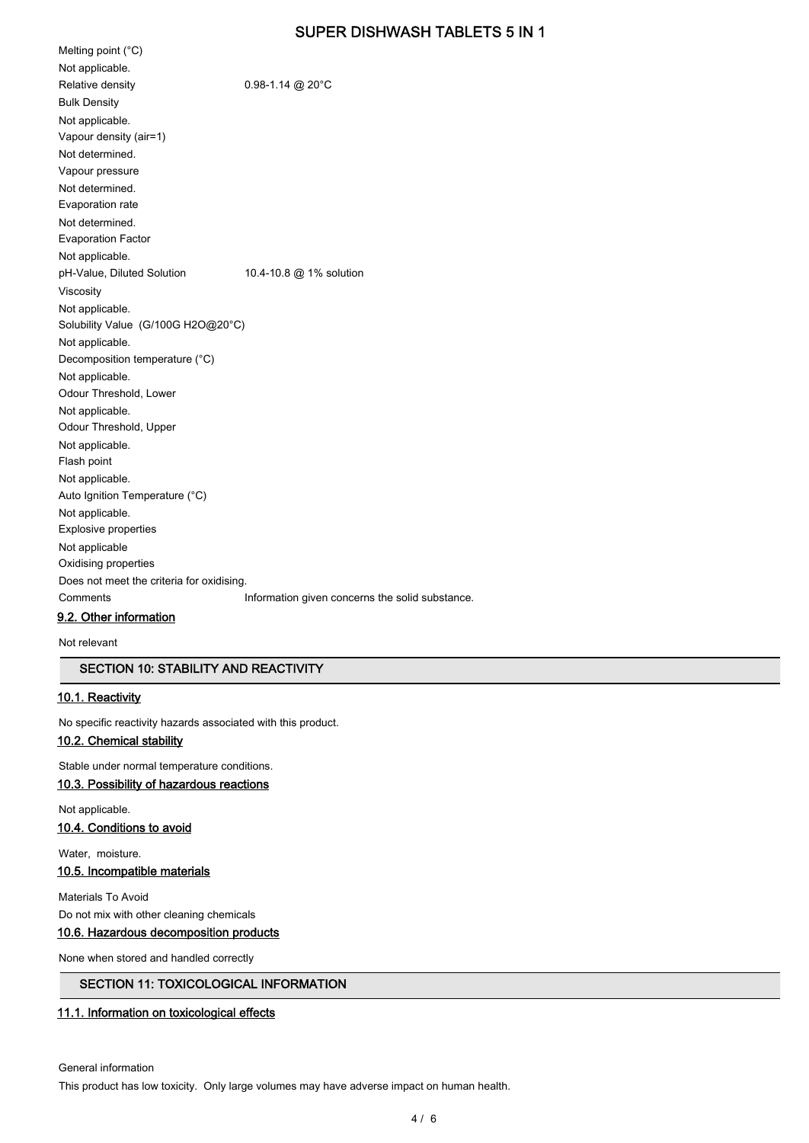Melting point (°C) Not applicable. Relative density 0.98-1.14 @ 20°C Bulk Density Not applicable. Vapour density (air=1) Not determined. Vapour pressure Not determined. Evaporation rate Not determined. Evaporation Factor Not applicable. pH-Value, Diluted Solution 10.4-10.8 @ 1% solution Viscosity Not applicable. Solubility Value (G/100G H2O@20°C) Not applicable. Decomposition temperature (°C) Not applicable. Odour Threshold, Lower Not applicable. Odour Threshold, Upper Not applicable. Flash point Not applicable. Auto Ignition Temperature (°C) Not applicable. Explosive properties Not applicable Oxidising properties Does not meet the criteria for oxidising. Comments **Information given concerns the solid substance**. 9.2. Other information

Not relevant

# SECTION 10: STABILITY AND REACTIVITY

## 10.1. Reactivity

No specific reactivity hazards associated with this product.

# 10.2. Chemical stability

Stable under normal temperature conditions.

## 10.3. Possibility of hazardous reactions

Not applicable. 10.4. Conditions to avoid

# Water, moisture.

10.5. Incompatible materials

Materials To Avoid Do not mix with other cleaning chemicals

# 10.6. Hazardous decomposition products

None when stored and handled correctly

# SECTION 11: TOXICOLOGICAL INFORMATION

#### 11.1. Information on toxicological effects

General information

This product has low toxicity. Only large volumes may have adverse impact on human health.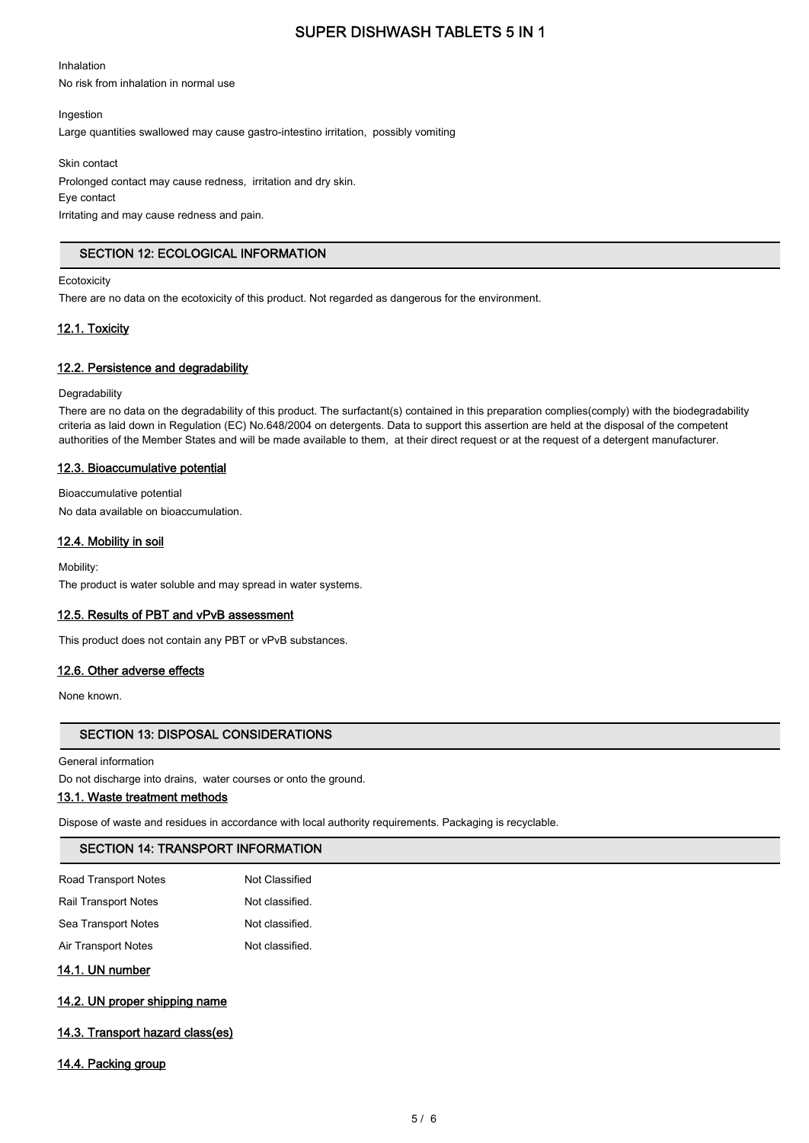Inhalation

No risk from inhalation in normal use

Ingestion

Large quantities swallowed may cause gastro-intestino irritation, possibly vomiting

Skin contact

Prolonged contact may cause redness, irritation and dry skin. Eye contact Irritating and may cause redness and pain.

# SECTION 12: ECOLOGICAL INFORMATION

**Ecotoxicity** 

There are no data on the ecotoxicity of this product. Not regarded as dangerous for the environment.

# 12.1. Toxicity

# 12.2. Persistence and degradability

**Degradability** 

There are no data on the degradability of this product. The surfactant(s) contained in this preparation complies(comply) with the biodegradability criteria as laid down in Regulation (EC) No.648/2004 on detergents. Data to support this assertion are held at the disposal of the competent authorities of the Member States and will be made available to them, at their direct request or at the request of a detergent manufacturer.

### 12.3. Bioaccumulative potential

Bioaccumulative potential No data available on bioaccumulation.

# 12.4. Mobility in soil

Mobility: The product is water soluble and may spread in water systems.

#### 12.5. Results of PBT and vPvB assessment

This product does not contain any PBT or vPvB substances.

#### 12.6. Other adverse effects

None known.

# SECTION 13: DISPOSAL CONSIDERATIONS

General information

Do not discharge into drains, water courses or onto the ground.

# 13.1. Waste treatment methods

Dispose of waste and residues in accordance with local authority requirements. Packaging is recyclable.

# SECTION 14: TRANSPORT INFORMATION

| Not Classified  |
|-----------------|
| Not classified. |
| Not classified. |
| Not classified. |
|                 |

14.1. UN number

#### 14.2. UN proper shipping name

# 14.3. Transport hazard class(es)

14.4. Packing group